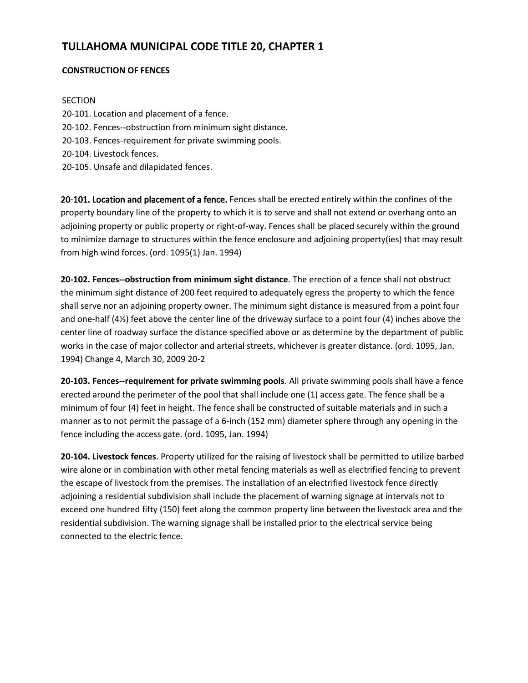# **TULLAHOMA MUNICIPAL CODE TITLE 20, CHAPTER 1**

### **CONSTRUCTION OF FENCES**

### **SECTION**

- 20-101. Location and placement of a fence.
- 20-102. Fences--obstruction from minimum sight distance.
- 20-103. Fences-requirement for private swimming pools.
- 20-104. Livestock fences.
- 20-105. Unsafe and dilapidated fences.

20-101. Location and placement of a fence. Fences shall be erected entirely within the confines of the property boundary line of the property to which it is to serve and shall not extend or overhang onto an adjoining property or public property or right-of-way. Fences shall be placed securely within the ground to minimize damage to structures within the fence enclosure and adjoining property(ies) that may result from high wind forces. (ord. 1095(1) Jan. 1994)

**20-102. Fences--obstruction from minimum sight distance**. The erection of a fence shall not obstruct the minimum sight distance of 200 feet required to adequately egress the property to which the fence shall serve nor an adjoining property owner. The minimum sight distance is measured from a point four and one-half (4½) feet above the center line of the driveway surface to a point four (4) inches above the center line of roadway surface the distance specified above or as determine by the department of public works in the case of major collector and arterial streets, whichever is greater distance. (ord. 1095, Jan. 1994) Change 4, March 30, 2009 20-2

**20-103. Fences--requirement for private swimming pools**. All private swimming pools shall have a fence erected around the perimeter of the pool that shall include one (1) access gate. The fence shall be a minimum of four (4) feet in height. The fence shall be constructed of suitable materials and in such a manner as to not permit the passage of a 6-inch (152 mm) diameter sphere through any opening in the fence including the access gate. (ord. 1095, Jan. 1994)

**20-104. Livestock fences**. Property utilized for the raising of livestock shall be permitted to utilize barbed wire alone or in combination with other metal fencing materials as well as electrified fencing to prevent the escape of livestock from the premises. The installation of an electrified livestock fence directly adjoining a residential subdivision shall include the placement of warning signage at intervals not to exceed one hundred fifty (150) feet along the common property line between the livestock area and the residential subdivision. The warning signage shall be installed prior to the electrical service being connected to the electric fence.